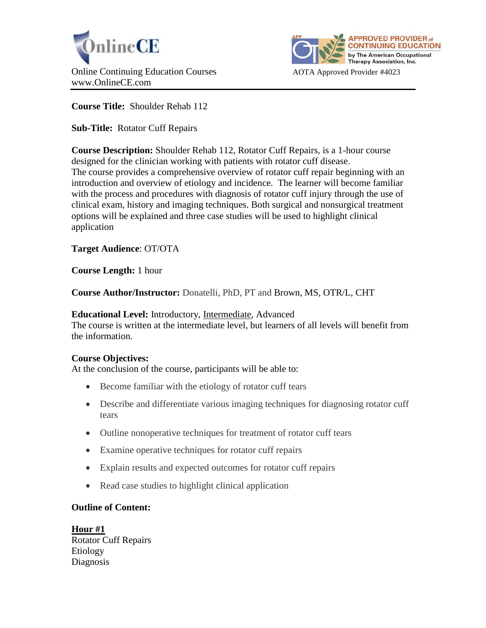



**Course Title:** Shoulder Rehab 112

**Sub-Title:** Rotator Cuff Repairs

**Course Description:** Shoulder Rehab 112, Rotator Cuff Repairs, is a 1-hour course designed for the clinician working with patients with rotator cuff disease. The course provides a comprehensive overview of rotator cuff repair beginning with an introduction and overview of etiology and incidence. The learner will become familiar with the process and procedures with diagnosis of rotator cuff injury through the use of clinical exam, history and imaging techniques. Both surgical and nonsurgical treatment options will be explained and three case studies will be used to highlight clinical application

**Target Audience**: OT/OTA

**Course Length:** 1 hour

**Course Author/Instructor:** Donatelli, PhD, PT and Brown, MS, OTR/L, CHT

# **Educational Level:** Introductory, Intermediate, Advanced

The course is written at the intermediate level, but learners of all levels will benefit from the information.

# **Course Objectives:**

At the conclusion of the course, participants will be able to:

- Become familiar with the etiology of rotator cuff tears
- Describe and differentiate various imaging techniques for diagnosing rotator cuff tears
- Outline nonoperative techniques for treatment of rotator cuff tears
- Examine operative techniques for rotator cuff repairs
- Explain results and expected outcomes for rotator cuff repairs
- Read case studies to highlight clinical application

# **Outline of Content:**

**Hour #1** Rotator Cuff Repairs Etiology Diagnosis